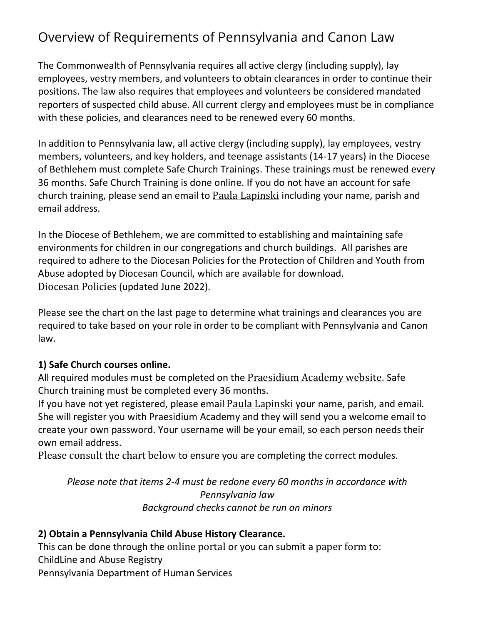# Overview of Requirements of Pennsylvania and Canon Law

The Commonwealth of Pennsylvania requires all active clergy (including supply), lay employees, vestry members, and volunteers to obtain clearances in order to continue their positions. The law also requires that employees and volunteers be considered mandated reporters of suspected child abuse. All current clergy and employees must be in compliance with these policies, and clearances need to be renewed every 60 months.

In addition to Pennsylvania law, all active clergy (including supply), lay employees, vestry members, volunteers, and key holders, and teenage assistants (14-17 years) in the Diocese of Bethlehem must complete Safe Church Trainings. These trainings must be renewed every 36 months. Safe Church Training is done online. If you do not have an account for safe church training, please send an email to Paula [Lapinski](mailto:paula@diobeth.org) including your name, parish and email address.

In the Diocese of Bethlehem, we are committed to establishing and maintaining safe environments for children in our congregations and church buildings. All parishes are required to adhere to the Diocesan Policies for the Protection of Children and Youth from Abuse adopted by Diocesan Council, which are available for download. [Diocesan](https://diobeth.org/wp-content/uploads/2021/06/Diocese-of-Bethlehm-Policy-March-2019-Final.pdf) Policies (updated June 2022).

Please see the chart on the last page to determine what trainings and clearances you are required to take based on your role in order to be compliant with Pennsylvania and Canon law.

#### **1) Safe Church courses online.**

All required modules must be completed on the [Praesidium](https://www.praesidiumacademy.com/) Academy website. Safe Church training must be completed every 36 months.

If you have not yet registered, please email Paula [Lapinski](mailto:paula@diobeth.org) your name, parish, and email. She will register you with Praesidium Academy and they will send you a welcome email to create your own password. Your username will be your email, so each person needs their own email address.

Please consult the chart below to ensure you are completing the correct modules.

*Please note that items 2-4 must be redone every 60 months in accordance with Pennsylvania law Background checks cannot be run on minors*

#### **2) Obtain a Pennsylvania Child Abuse History Clearance.**

This can be done through the [online](https://www.compass.state.pa.us/cwis/public/home) portal or you can submit a [paper](https://diobeth.org/wp-content/uploads/2021/06/PA-Child-Abuse-History-Certification.pdf) form to: ChildLine and Abuse Registry Pennsylvania Department of Human Services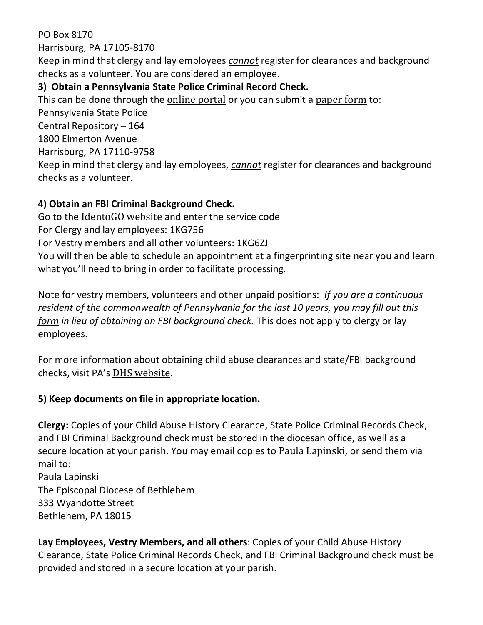PO Box 8170 Harrisburg, PA 17105-8170

Keep in mind that clergy and lay employees *cannot* register for clearances and background checks as a volunteer. You are considered an employee.

### **3) Obtain a Pennsylvania State Police Criminal Record Check.**

This can be done through the [online](https://epatch.state.pa.us/Home.jsp) portal or you can submit a [paper](https://diobeth.org/wp-content/uploads/2021/06/PAState_Staff.pdf) form to:

Pennsylvania State Police

Central Repository – 164 1800 Elmerton Avenue

Harrisburg, PA 17110-9758

Keep in mind that clergy and lay employees, *cannot* register for clearances and background checks as a volunteer.

## **4) Obtain an FBI Criminal Background Check.**

Go to the [IdentoGO](https://uenroll.identogo.com/) website and enter the service code

For Clergy and lay employees: 1KG756

For Vestry members and all other volunteers: 1KG6ZJ

You will then be able to schedule an appointment at a fingerprinting site near you and learn what you'll need to bring in order to facilitate processing.

Note for vestry members, volunteers and other unpaid positions: *If you are a continuous resident of the commonwealth of Pennsylvania for the last 10 years, you may fill out [this](https://diobeth.org/wp-content/uploads/2021/06/Volunteer-Verification-Form-1.pdf) [form](https://diobeth.org/wp-content/uploads/2021/06/Volunteer-Verification-Form-1.pdf) in lieu of obtaining an FBI background check.* This does not apply to clergy or lay employees.

For more information about obtaining child abuse clearances and state/FBI background checks, visit PA's DHS [website](https://www.dhs.pa.gov/KeepKidsSafe/Clearances/Pages/PA-Child-Abuse-History-Clearance.aspx).

### **5) Keep documents on file in appropriate location.**

**Clergy:** Copies of your Child Abuse History Clearance, State Police Criminal Records Check, and FBI Criminal Background check must be stored in the diocesan office, as well as a secure location at your parish. You may email copies to Paula [Lapinski](mailto:paula@diobeth.org), or send them via mail to:

Paula Lapinski The Episcopal Diocese of Bethlehem 333 Wyandotte Street Bethlehem, PA 18015

**Lay Employees, Vestry Members, and all others**: Copies of your Child Abuse History Clearance, State Police Criminal Records Check, and FBI Criminal Background check must be provided and stored in a secure location at your parish.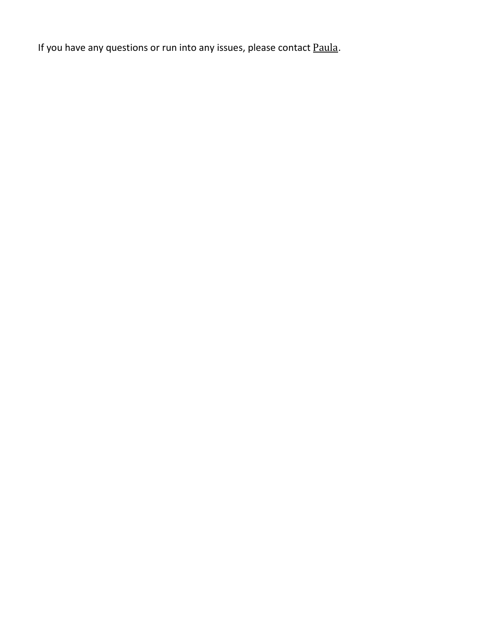If you have any questions or run into any issues, please contact [Paula](mailto:paula@diobeth.org).